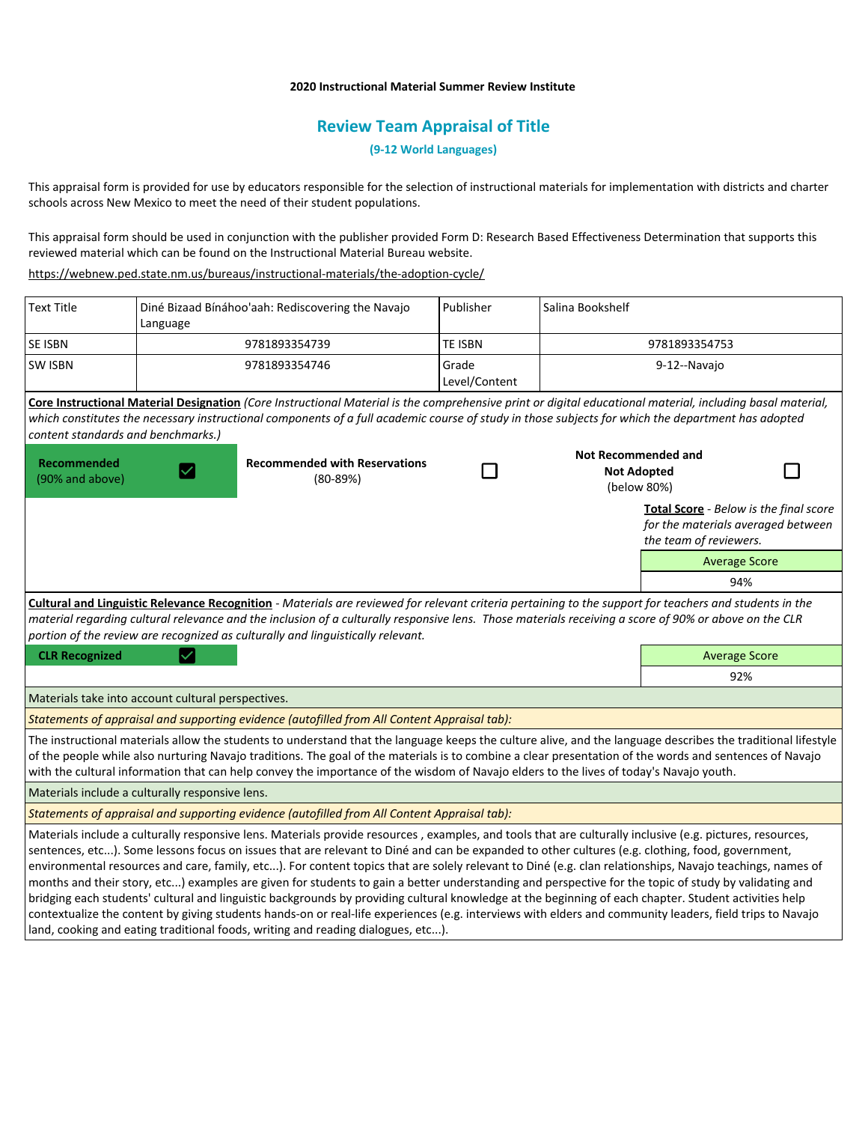### **2020 Instructional Material Summer Review Institute**

# **Review Team Appraisal of Title**

**(9-12 World Languages)**

This appraisal form is provided for use by educators responsible for the selection of instructional materials for implementation with districts and charter schools across New Mexico to meet the need of their student populations.

This appraisal form should be used in conjunction with the publisher provided Form D: Research Based Effectiveness Determination that supports this reviewed material which can be found on the Instructional Material Bureau website.

<https://webnew.ped.state.nm.us/bureaus/instructional-materials/the-adoption-cycle/>

| <b>Text Title</b>                                                                                                                                                                                                                                                                                                                                                                                                                                                                                                                                                                                                                                                                                                                                                                                                                                                                                                                                                                                                                         | Diné Bizaad Bínáhoo'aah: Rediscovering the Navajo<br>Language |                                                    | Publisher              | Salina Bookshelf                  |                                                                                                        |     |  |
|-------------------------------------------------------------------------------------------------------------------------------------------------------------------------------------------------------------------------------------------------------------------------------------------------------------------------------------------------------------------------------------------------------------------------------------------------------------------------------------------------------------------------------------------------------------------------------------------------------------------------------------------------------------------------------------------------------------------------------------------------------------------------------------------------------------------------------------------------------------------------------------------------------------------------------------------------------------------------------------------------------------------------------------------|---------------------------------------------------------------|----------------------------------------------------|------------------------|-----------------------------------|--------------------------------------------------------------------------------------------------------|-----|--|
| SE ISBN                                                                                                                                                                                                                                                                                                                                                                                                                                                                                                                                                                                                                                                                                                                                                                                                                                                                                                                                                                                                                                   | 9781893354739                                                 |                                                    | TE ISBN                | 9781893354753                     |                                                                                                        |     |  |
| <b>SW ISBN</b>                                                                                                                                                                                                                                                                                                                                                                                                                                                                                                                                                                                                                                                                                                                                                                                                                                                                                                                                                                                                                            |                                                               | 9781893354746                                      | Grade<br>Level/Content | 9-12--Navajo                      |                                                                                                        |     |  |
| Core Instructional Material Designation (Core Instructional Material is the comprehensive print or digital educational material, including basal material,<br>which constitutes the necessary instructional components of a full academic course of study in those subjects for which the department has adopted<br>content standards and benchmarks.)                                                                                                                                                                                                                                                                                                                                                                                                                                                                                                                                                                                                                                                                                    |                                                               |                                                    |                        |                                   |                                                                                                        |     |  |
|                                                                                                                                                                                                                                                                                                                                                                                                                                                                                                                                                                                                                                                                                                                                                                                                                                                                                                                                                                                                                                           |                                                               |                                                    |                        | <b>Not Recommended and</b>        |                                                                                                        |     |  |
| Recommended<br>(90% and above)                                                                                                                                                                                                                                                                                                                                                                                                                                                                                                                                                                                                                                                                                                                                                                                                                                                                                                                                                                                                            |                                                               | <b>Recommended with Reservations</b><br>$(80-89%)$ |                        | <b>Not Adopted</b><br>(below 80%) |                                                                                                        |     |  |
|                                                                                                                                                                                                                                                                                                                                                                                                                                                                                                                                                                                                                                                                                                                                                                                                                                                                                                                                                                                                                                           |                                                               |                                                    |                        |                                   | Total Score - Below is the final score<br>for the materials averaged between<br>the team of reviewers. |     |  |
|                                                                                                                                                                                                                                                                                                                                                                                                                                                                                                                                                                                                                                                                                                                                                                                                                                                                                                                                                                                                                                           |                                                               |                                                    |                        |                                   | <b>Average Score</b>                                                                                   |     |  |
|                                                                                                                                                                                                                                                                                                                                                                                                                                                                                                                                                                                                                                                                                                                                                                                                                                                                                                                                                                                                                                           |                                                               |                                                    |                        |                                   | 94%                                                                                                    |     |  |
| Cultural and Linguistic Relevance Recognition - Materials are reviewed for relevant criteria pertaining to the support for teachers and students in the<br>material regarding cultural relevance and the inclusion of a culturally responsive lens. Those materials receiving a score of 90% or above on the CLR<br>portion of the review are recognized as culturally and linguistically relevant.                                                                                                                                                                                                                                                                                                                                                                                                                                                                                                                                                                                                                                       |                                                               |                                                    |                        |                                   |                                                                                                        |     |  |
| <b>CLR Recognized</b>                                                                                                                                                                                                                                                                                                                                                                                                                                                                                                                                                                                                                                                                                                                                                                                                                                                                                                                                                                                                                     |                                                               |                                                    |                        |                                   | <b>Average Score</b>                                                                                   |     |  |
|                                                                                                                                                                                                                                                                                                                                                                                                                                                                                                                                                                                                                                                                                                                                                                                                                                                                                                                                                                                                                                           |                                                               |                                                    |                        |                                   |                                                                                                        | 92% |  |
| Materials take into account cultural perspectives.                                                                                                                                                                                                                                                                                                                                                                                                                                                                                                                                                                                                                                                                                                                                                                                                                                                                                                                                                                                        |                                                               |                                                    |                        |                                   |                                                                                                        |     |  |
| Statements of appraisal and supporting evidence (autofilled from All Content Appraisal tab):                                                                                                                                                                                                                                                                                                                                                                                                                                                                                                                                                                                                                                                                                                                                                                                                                                                                                                                                              |                                                               |                                                    |                        |                                   |                                                                                                        |     |  |
| The instructional materials allow the students to understand that the language keeps the culture alive, and the language describes the traditional lifestyle<br>of the people while also nurturing Navajo traditions. The goal of the materials is to combine a clear presentation of the words and sentences of Navajo<br>with the cultural information that can help convey the importance of the wisdom of Navajo elders to the lives of today's Navajo youth.                                                                                                                                                                                                                                                                                                                                                                                                                                                                                                                                                                         |                                                               |                                                    |                        |                                   |                                                                                                        |     |  |
| Materials include a culturally responsive lens.                                                                                                                                                                                                                                                                                                                                                                                                                                                                                                                                                                                                                                                                                                                                                                                                                                                                                                                                                                                           |                                                               |                                                    |                        |                                   |                                                                                                        |     |  |
| Statements of appraisal and supporting evidence (autofilled from All Content Appraisal tab):                                                                                                                                                                                                                                                                                                                                                                                                                                                                                                                                                                                                                                                                                                                                                                                                                                                                                                                                              |                                                               |                                                    |                        |                                   |                                                                                                        |     |  |
| Materials include a culturally responsive lens. Materials provide resources, examples, and tools that are culturally inclusive (e.g. pictures, resources,<br>sentences, etc). Some lessons focus on issues that are relevant to Diné and can be expanded to other cultures (e.g. clothing, food, government,<br>environmental resources and care, family, etc). For content topics that are solely relevant to Diné (e.g. clan relationships, Navajo teachings, names of<br>months and their story, etc) examples are given for students to gain a better understanding and perspective for the topic of study by validating and<br>bridging each students' cultural and linguistic backgrounds by providing cultural knowledge at the beginning of each chapter. Student activities help<br>contextualize the content by giving students hands-on or real-life experiences (e.g. interviews with elders and community leaders, field trips to Navajo<br>land, cooking and eating traditional foods, writing and reading dialogues, etc). |                                                               |                                                    |                        |                                   |                                                                                                        |     |  |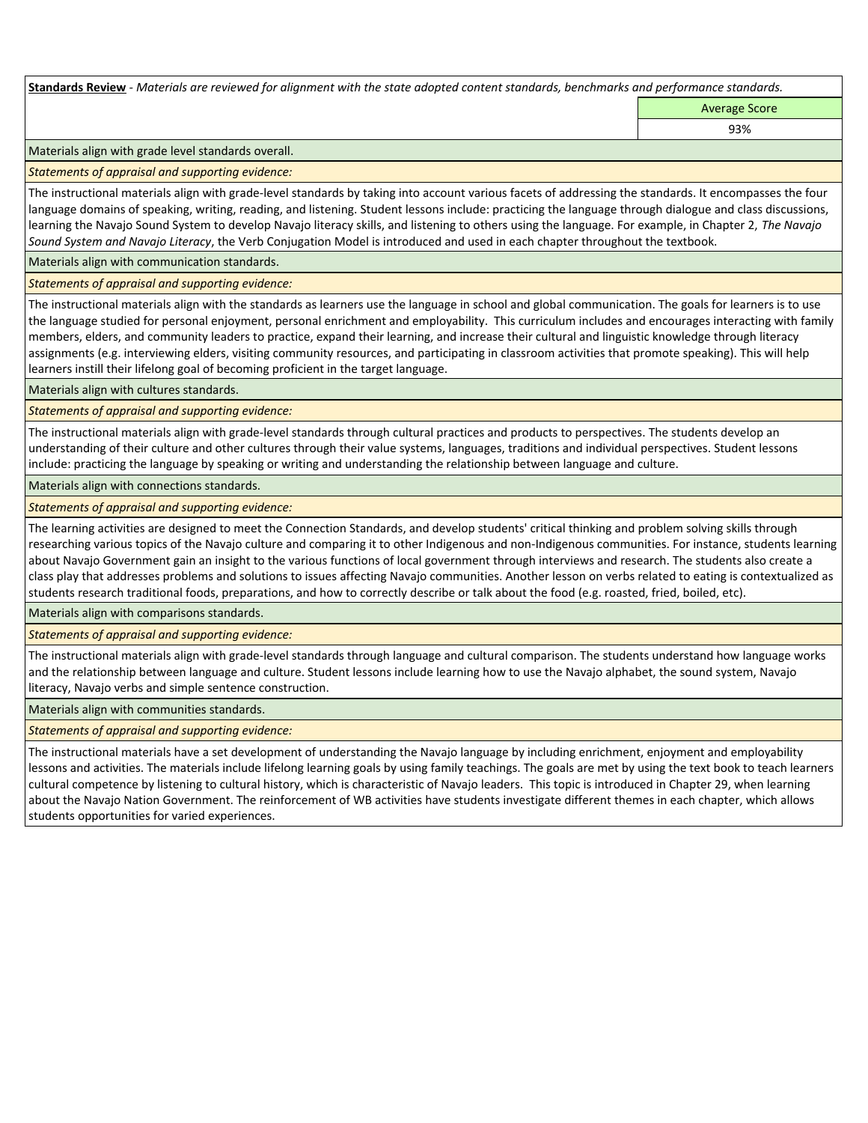**Standards Review** *- Materials are reviewed for alignment with the state adopted content standards, benchmarks and performance standards.*

Average Score 93%

Materials align with grade level standards overall.

*Statements of appraisal and supporting evidence:* 

The instructional materials align with grade-level standards by taking into account various facets of addressing the standards. It encompasses the four language domains of speaking, writing, reading, and listening. Student lessons include: practicing the language through dialogue and class discussions, learning the Navajo Sound System to develop Navajo literacy skills, and listening to others using the language. For example, in Chapter 2, *The Navajo Sound System and Navajo Literacy*, the Verb Conjugation Model is introduced and used in each chapter throughout the textbook.

Materials align with communication standards.

*Statements of appraisal and supporting evidence:* 

The instructional materials align with the standards as learners use the language in school and global communication. The goals for learners is to use the language studied for personal enjoyment, personal enrichment and employability. This curriculum includes and encourages interacting with family members, elders, and community leaders to practice, expand their learning, and increase their cultural and linguistic knowledge through literacy assignments (e.g. interviewing elders, visiting community resources, and participating in classroom activities that promote speaking). This will help learners instill their lifelong goal of becoming proficient in the target language.

Materials align with cultures standards.

*Statements of appraisal and supporting evidence:* 

The instructional materials align with grade-level standards through cultural practices and products to perspectives. The students develop an understanding of their culture and other cultures through their value systems, languages, traditions and individual perspectives. Student lessons include: practicing the language by speaking or writing and understanding the relationship between language and culture.

Materials align with connections standards.

*Statements of appraisal and supporting evidence:* 

The learning activities are designed to meet the Connection Standards, and develop students' critical thinking and problem solving skills through researching various topics of the Navajo culture and comparing it to other Indigenous and non-Indigenous communities. For instance, students learning about Navajo Government gain an insight to the various functions of local government through interviews and research. The students also create a class play that addresses problems and solutions to issues affecting Navajo communities. Another lesson on verbs related to eating is contextualized as students research traditional foods, preparations, and how to correctly describe or talk about the food (e.g. roasted, fried, boiled, etc).

Materials align with comparisons standards.

*Statements of appraisal and supporting evidence:* 

The instructional materials align with grade-level standards through language and cultural comparison. The students understand how language works and the relationship between language and culture. Student lessons include learning how to use the Navajo alphabet, the sound system, Navajo literacy, Navajo verbs and simple sentence construction.

Materials align with communities standards.

*Statements of appraisal and supporting evidence:* 

The instructional materials have a set development of understanding the Navajo language by including enrichment, enjoyment and employability lessons and activities. The materials include lifelong learning goals by using family teachings. The goals are met by using the text book to teach learners cultural competence by listening to cultural history, which is characteristic of Navajo leaders. This topic is introduced in Chapter 29, when learning about the Navajo Nation Government. The reinforcement of WB activities have students investigate different themes in each chapter, which allows students opportunities for varied experiences.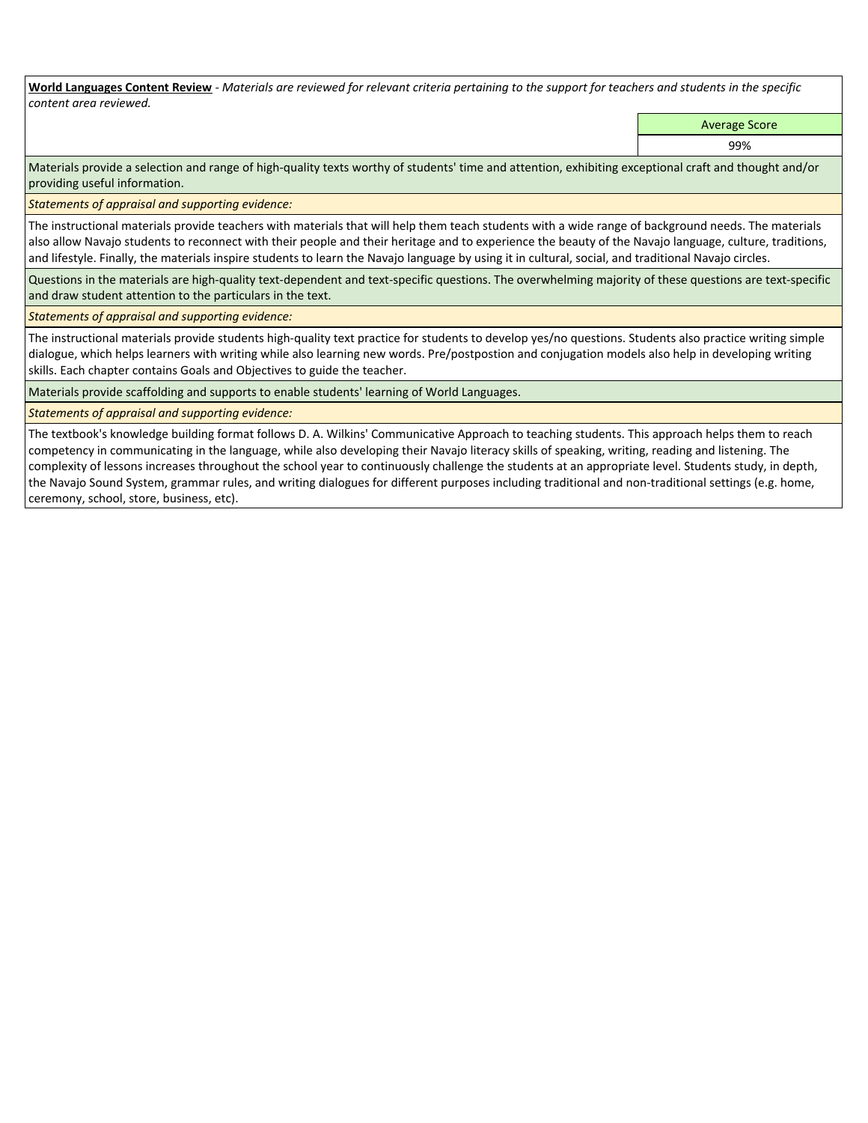**World Languages Content Review** *- Materials are reviewed for relevant criteria pertaining to the support for teachers and students in the specific content area reviewed.*

Average Score

99%

Materials provide a selection and range of high-quality texts worthy of students' time and attention, exhibiting exceptional craft and thought and/or providing useful information.

*Statements of appraisal and supporting evidence:* 

The instructional materials provide teachers with materials that will help them teach students with a wide range of background needs. The materials also allow Navajo students to reconnect with their people and their heritage and to experience the beauty of the Navajo language, culture, traditions, and lifestyle. Finally, the materials inspire students to learn the Navajo language by using it in cultural, social, and traditional Navajo circles.

Questions in the materials are high-quality text-dependent and text-specific questions. The overwhelming majority of these questions are text-specific and draw student attention to the particulars in the text.

*Statements of appraisal and supporting evidence:* 

The instructional materials provide students high-quality text practice for students to develop yes/no questions. Students also practice writing simple dialogue, which helps learners with writing while also learning new words. Pre/postpostion and conjugation models also help in developing writing skills. Each chapter contains Goals and Objectives to guide the teacher.

Materials provide scaffolding and supports to enable students' learning of World Languages.

## *Statements of appraisal and supporting evidence:*

The textbook's knowledge building format follows D. A. Wilkins' Communicative Approach to teaching students. This approach helps them to reach competency in communicating in the language, while also developing their Navajo literacy skills of speaking, writing, reading and listening. The complexity of lessons increases throughout the school year to continuously challenge the students at an appropriate level. Students study, in depth, the Navajo Sound System, grammar rules, and writing dialogues for different purposes including traditional and non-traditional settings (e.g. home, ceremony, school, store, business, etc).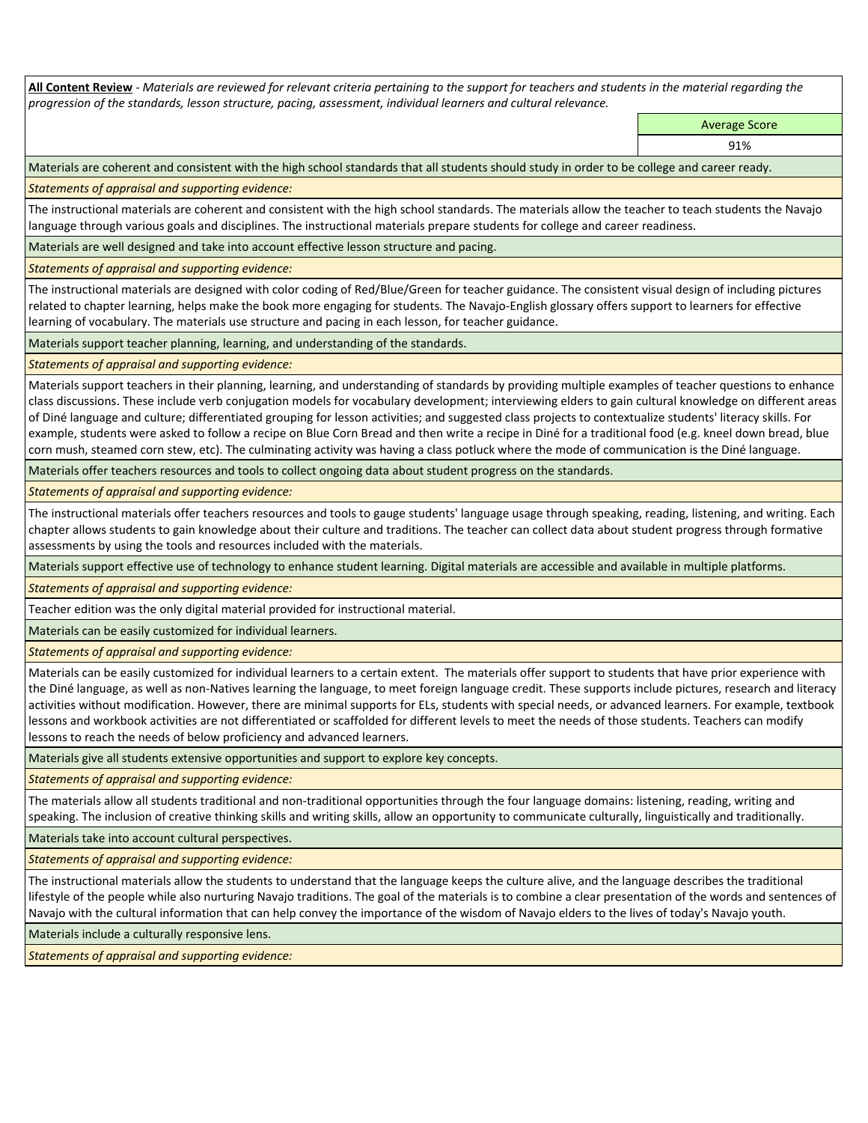**All Content Review** *- Materials are reviewed for relevant criteria pertaining to the support for teachers and students in the material regarding the progression of the standards, lesson structure, pacing, assessment, individual learners and cultural relevance.*

> Average Score 91%

Materials are coherent and consistent with the high school standards that all students should study in order to be college and career ready.

*Statements of appraisal and supporting evidence:*

The instructional materials are coherent and consistent with the high school standards. The materials allow the teacher to teach students the Navajo language through various goals and disciplines. The instructional materials prepare students for college and career readiness.

Materials are well designed and take into account effective lesson structure and pacing.

*Statements of appraisal and supporting evidence:*

The instructional materials are designed with color coding of Red/Blue/Green for teacher guidance. The consistent visual design of including pictures related to chapter learning, helps make the book more engaging for students. The Navajo-English glossary offers support to learners for effective learning of vocabulary. The materials use structure and pacing in each lesson, for teacher guidance.

Materials support teacher planning, learning, and understanding of the standards.

*Statements of appraisal and supporting evidence:*

Materials support teachers in their planning, learning, and understanding of standards by providing multiple examples of teacher questions to enhance class discussions. These include verb conjugation models for vocabulary development; interviewing elders to gain cultural knowledge on different areas of Diné language and culture; differentiated grouping for lesson activities; and suggested class projects to contextualize students' literacy skills. For example, students were asked to follow a recipe on Blue Corn Bread and then write a recipe in Diné for a traditional food (e.g. kneel down bread, blue corn mush, steamed corn stew, etc). The culminating activity was having a class potluck where the mode of communication is the Diné language.

Materials offer teachers resources and tools to collect ongoing data about student progress on the standards.

*Statements of appraisal and supporting evidence:*

The instructional materials offer teachers resources and tools to gauge students' language usage through speaking, reading, listening, and writing. Each chapter allows students to gain knowledge about their culture and traditions. The teacher can collect data about student progress through formative assessments by using the tools and resources included with the materials.

Materials support effective use of technology to enhance student learning. Digital materials are accessible and available in multiple platforms.

*Statements of appraisal and supporting evidence:*

Teacher edition was the only digital material provided for instructional material.

Materials can be easily customized for individual learners.

*Statements of appraisal and supporting evidence:* 

Materials can be easily customized for individual learners to a certain extent. The materials offer support to students that have prior experience with the Diné language, as well as non-Natives learning the language, to meet foreign language credit. These supports include pictures, research and literacy activities without modification. However, there are minimal supports for ELs, students with special needs, or advanced learners. For example, textbook lessons and workbook activities are not differentiated or scaffolded for different levels to meet the needs of those students. Teachers can modify lessons to reach the needs of below proficiency and advanced learners.

Materials give all students extensive opportunities and support to explore key concepts.

*Statements of appraisal and supporting evidence:*

The materials allow all students traditional and non-traditional opportunities through the four language domains: listening, reading, writing and speaking. The inclusion of creative thinking skills and writing skills, allow an opportunity to communicate culturally, linguistically and traditionally.

Materials take into account cultural perspectives.

*Statements of appraisal and supporting evidence:*

The instructional materials allow the students to understand that the language keeps the culture alive, and the language describes the traditional lifestyle of the people while also nurturing Navajo traditions. The goal of the materials is to combine a clear presentation of the words and sentences of Navajo with the cultural information that can help convey the importance of the wisdom of Navajo elders to the lives of today's Navajo youth.

Materials include a culturally responsive lens.

*Statements of appraisal and supporting evidence:*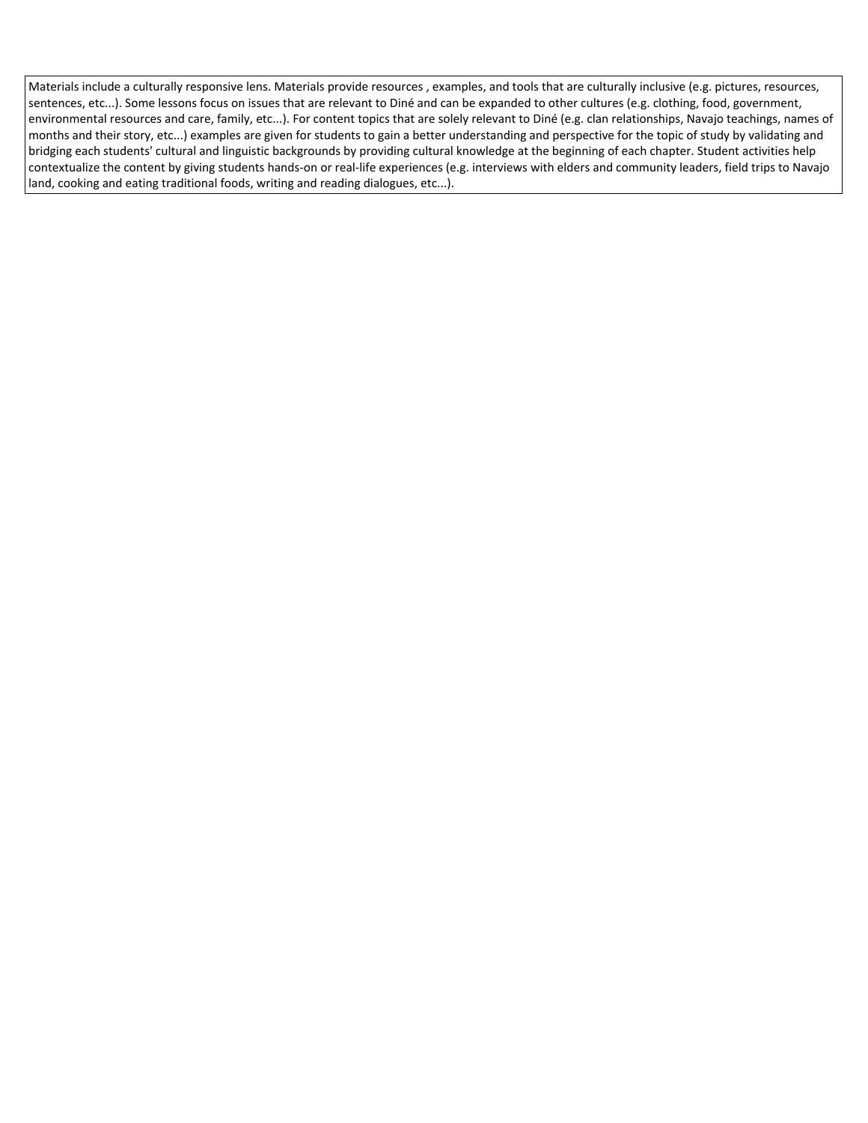Materials include a culturally responsive lens. Materials provide resources , examples, and tools that are culturally inclusive (e.g. pictures, resources, sentences, etc...). Some lessons focus on issues that are relevant to Diné and can be expanded to other cultures (e.g. clothing, food, government, environmental resources and care, family, etc...). For content topics that are solely relevant to Diné (e.g. clan relationships, Navajo teachings, names of months and their story, etc...) examples are given for students to gain a better understanding and perspective for the topic of study by validating and bridging each students' cultural and linguistic backgrounds by providing cultural knowledge at the beginning of each chapter. Student activities help contextualize the content by giving students hands-on or real-life experiences (e.g. interviews with elders and community leaders, field trips to Navajo land, cooking and eating traditional foods, writing and reading dialogues, etc...).